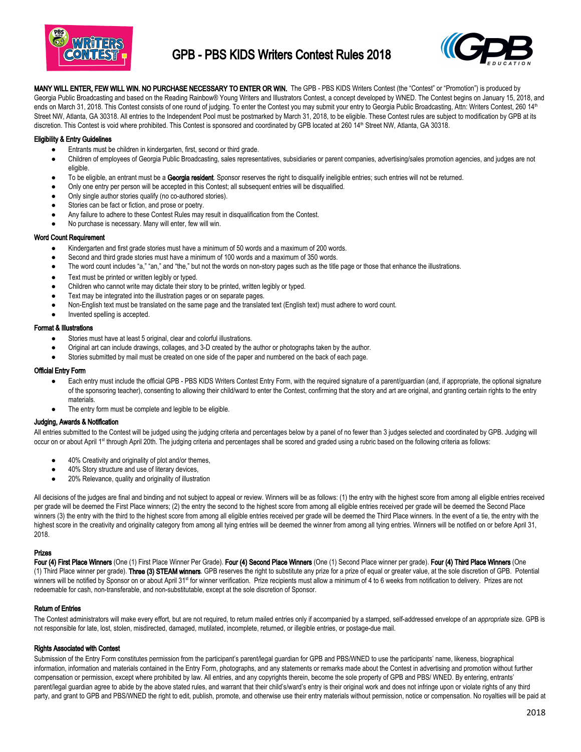

# GPB - PBS KIDS Writers Contest Rules 2018



MANY WILL ENTER, FEW WILL WIN. NO PURCHASE NECESSARY TO ENTER OR WIN. The GPB - PBS KIDS Writers Contest (the "Contest" or "Promotion") is produced by Georgia Public Broadcasting and based on the Reading Rainbow® Young Writers and Illustrators Contest, a concept developed by WNED. The Contest begins on January 15, 2018, and ends on March 31, 2018. This Contest consists of one round of judging. To enter the Contest you may submit your entry to Georgia Public Broadcasting, Attn: Writers Contest, 260 14<sup>th</sup> Street NW, Atlanta, GA 30318. All entries to the Independent Pool must be postmarked by March 31, 2018, to be eligible. These Contest rules are subject to modification by GPB at its discretion. This Contest is void where prohibited. This Contest is sponsored and coordinated by GPB located at 260 14<sup>th</sup> Street NW, Atlanta, GA 30318.

## Eligibility & Entry Guidelines

- Entrants must be children in kindergarten, first, second or third grade.
- Children of employees of Georgia Public Broadcasting, sales representatives, subsidiaries or parent companies, advertising/sales promotion agencies, and judges are not eligible.
- To be eligible, an entrant must be a Georgia resident. Sponsor reserves the right to disqualify ineligible entries; such entries will not be returned.
- Only one entry per person will be accepted in this Contest; all subsequent entries will be disqualified.
- Only single author stories qualify (no co-authored stories).
- Stories can be fact or fiction, and prose or poetry.
- Any failure to adhere to these Contest Rules may result in disqualification from the Contest.
- No purchase is necessary. Many will enter, few will win.

### Word Count Requirement

- Kindergarten and first grade stories must have a minimum of 50 words and a maximum of 200 words.
- Second and third grade stories must have a minimum of 100 words and a maximum of 350 words.
- The word count includes "a," "an," and "the," but not the words on non-story pages such as the title page or those that enhance the illustrations.
- Text must be printed or written legibly or typed.
- Children who cannot write may dictate their story to be printed, written legibly or typed.
- Text may be integrated into the illustration pages or on separate pages.
- Non-English text must be translated on the same page and the translated text (English text) must adhere to word count.
- Invented spelling is accepted.

### Format & Illustrations

- Stories must have at least 5 original, clear and colorful illustrations.
- Original art can include drawings, collages, and 3-D created by the author or photographs taken by the author.
- Stories submitted by mail must be created on one side of the paper and numbered on the back of each page.

### Official Entry Form

- Each entry must include the official GPB PBS KIDS Writers Contest Entry Form, with the required signature of a parent/guardian (and, if appropriate, the optional signature of the sponsoring teacher), consenting to allowing their child/ward to enter the Contest, confirming that the story and art are original, and granting certain rights to the entry materials.
- The entry form must be complete and legible to be eligible.

# Judging, Awards & Notification

All entries submitted to the Contest will be judged using the judging criteria and percentages below by a panel of no fewer than 3 judges selected and coordinated by GPB. Judging will occur on or about April 1<sup>st</sup> through April 20th. The judging criteria and percentages shall be scored and graded using a rubric based on the following criteria as follows:

- 40% Creativity and originality of plot and/or themes,
- 40% Story structure and use of literary devices,
- 20% Relevance, quality and originality of illustration

All decisions of the judges are final and binding and not subject to appeal or review. Winners will be as follows: (1) the entry with the highest score from among all eligible entries received per grade will be deemed the First Place winners; (2) the entry the second to the highest score from among all eligible entries received per grade will be deemed the Second Place winners (3) the entry with the third to the highest score from among all eligible entries received per grade will be deemed the Third Place winners. In the event of a tie, the entry with the highest score in the creativity and originality category from among all tying entries will be deemed the winner from among all tying entries. Winners will be notified on or before April 31, 2018.

#### Prizes

Four (4) First Place Winners (One (1) First Place Winner Per Grade). Four (4) Second Place Winners (One (1) Second Place winner per grade). Four (4) Third Place Winners (One (1) Third Place winner per grade). Three (3) STEAM winners. GPB reserves the right to substitute any prize for a prize of equal or greater value, at the sole discretion of GPB. Potential winners will be notified by Sponsor on or about April 31<sup>st</sup> for winner verification. Prize recipients must allow a minimum of 4 to 6 weeks from notification to delivery. Prizes are not redeemable for cash, non-transferable, and non-substitutable, except at the sole discretion of Sponsor.

## Return of Entries

The Contest administrators will make every effort, but are not required, to return mailed entries only if accompanied by a stamped, self-addressed envelope of an *appropriate* size. GPB is not responsible for late, lost, stolen, misdirected, damaged, mutilated, incomplete, returned, or illegible entries, or postage-due mail.

#### Rights Associated with Contest

Submission of the Entry Form constitutes permission from the participant's parent/legal guardian for GPB and PBS/WNED to use the participants' name, likeness, biographical information, information and materials contained in the Entry Form, photographs, and any statements or remarks made about the Contest in advertising and promotion without further compensation or permission, except where prohibited by law. All entries, and any copyrights therein, become the sole property of GPB and PBS/ WNED. By entering, entrants' parent/legal guardian agree to abide by the above stated rules, and warrant that their child's/ward's entry is their original work and does not infringe upon or violate rights of any third party, and grant to GPB and PBS/WNED the right to edit, publish, promote, and otherwise use their entry materials without permission, notice or compensation. No royalties will be paid at